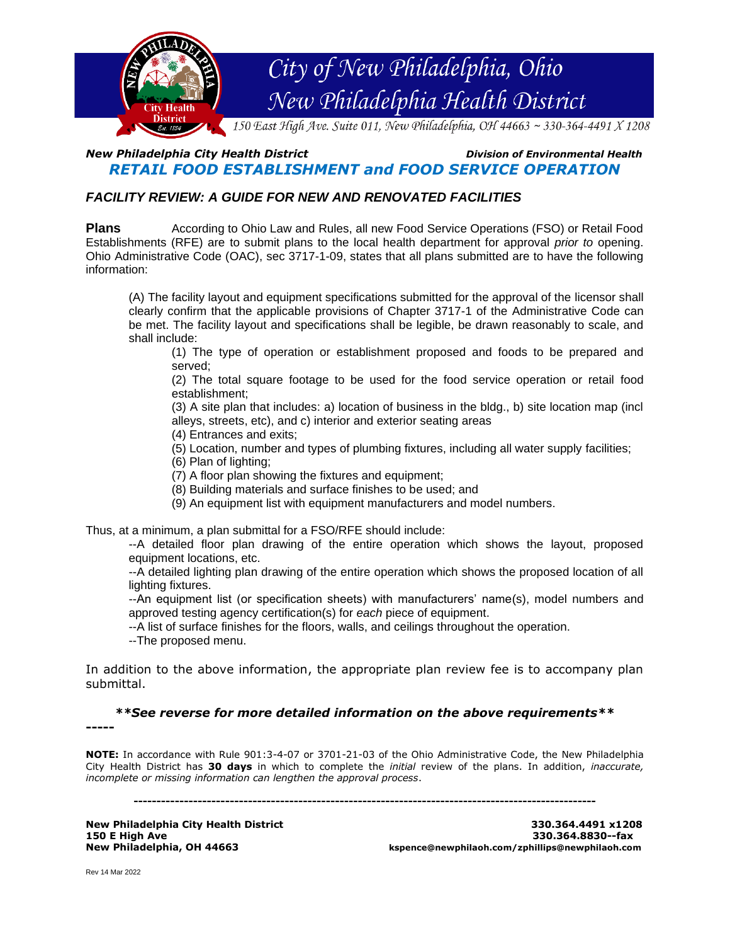

## *New Philadelphia City Health District Division of Environmental Health RETAIL FOOD ESTABLISHMENT and FOOD SERVICE OPERATION*

# *FACILITY REVIEW: A GUIDE FOR NEW AND RENOVATED FACILITIES*

**Plans** According to Ohio Law and Rules, all new Food Service Operations (FSO) or Retail Food Establishments (RFE) are to submit plans to the local health department for approval *prior to* opening. Ohio Administrative Code (OAC), sec 3717-1-09, states that all plans submitted are to have the following information:

(A) The facility layout and equipment specifications submitted for the approval of the licensor shall clearly confirm that the applicable provisions of Chapter 3717-1 of the Administrative Code can be met. The facility layout and specifications shall be legible, be drawn reasonably to scale, and shall include:

(1) The type of operation or establishment proposed and foods to be prepared and served;

(2) The total square footage to be used for the food service operation or retail food establishment;

(3) A site plan that includes: a) location of business in the bldg., b) site location map (incl alleys, streets, etc), and c) interior and exterior seating areas

(4) Entrances and exits;

(5) Location, number and types of plumbing fixtures, including all water supply facilities;

(6) Plan of lighting;

(7) A floor plan showing the fixtures and equipment;

(8) Building materials and surface finishes to be used; and

(9) An equipment list with equipment manufacturers and model numbers.

Thus, at a minimum, a plan submittal for a FSO/RFE should include:

--A detailed floor plan drawing of the entire operation which shows the layout, proposed equipment locations, etc.

--A detailed lighting plan drawing of the entire operation which shows the proposed location of all lighting fixtures.

--An equipment list (or specification sheets) with manufacturers' name(s), model numbers and approved testing agency certification(s) for *each* piece of equipment.

--A list of surface finishes for the floors, walls, and ceilings throughout the operation.

--The proposed menu.

In addition to the above information, the appropriate plan review fee is to accompany plan submittal.

*\*\*See reverse for more detailed information on the above requirements\*\**

**-----**

**NOTE:** In accordance with Rule 901:3-4-07 or 3701-21-03 of the Ohio Administrative Code, the New Philadelphia City Health District has **30 days** in which to complete the *initial* review of the plans. In addition, *inaccurate, incomplete or missing information can lengthen the approval process*.

**-----------------------------------------------------------------------------------------------------**

**New Philadelphia City Health District 330.364.4491 x1208**

**150 E High Ave 330.364.8830--fax New Philadelphia, OH 44663 kspence@newphilaoh.com/zphillips@newphilaoh.com**

Rev 14 Mar 2022